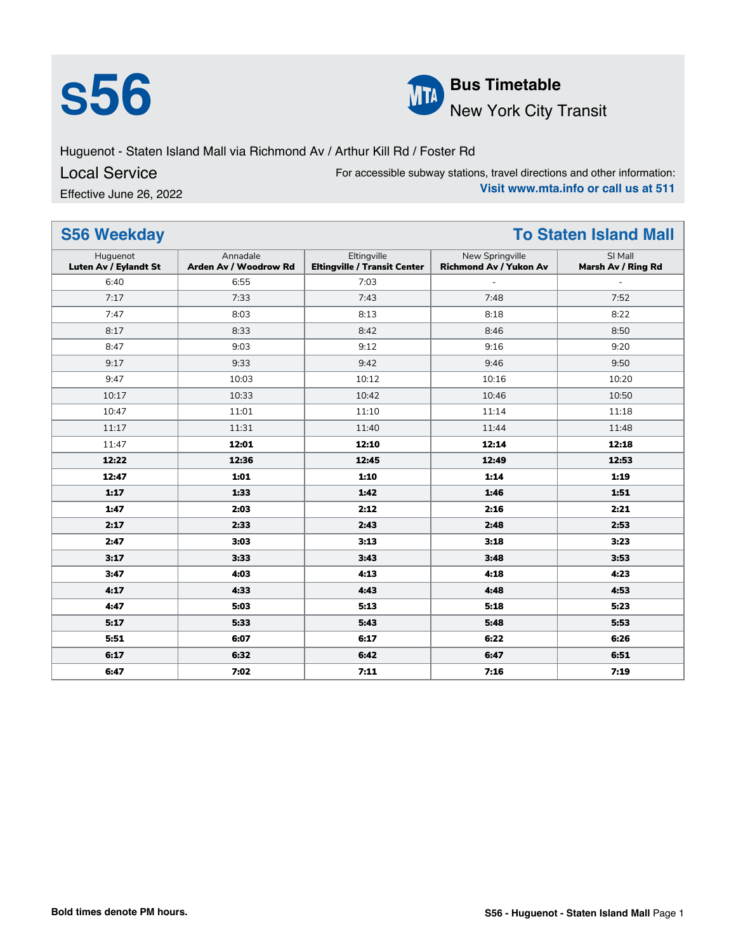



Huguenot - Staten Island Mall via Richmond Av / Arthur Kill Rd / Foster Rd

Local Service

Effective June 26, 2022

For accessible subway stations, travel directions and other information: **Visit www.mta.info or call us at 511**

| <b>S56 Weekday</b><br><b>To Staten Island Mall</b> |                                   |                                                    |                                                  |                               |
|----------------------------------------------------|-----------------------------------|----------------------------------------------------|--------------------------------------------------|-------------------------------|
| Huguenot<br>Luten Av / Eylandt St                  | Annadale<br>Arden Av / Woodrow Rd | Eltingville<br><b>Eltingville / Transit Center</b> | New Springville<br><b>Richmond Av / Yukon Av</b> | SI Mall<br>Marsh Av / Ring Rd |
| 6:40                                               | 6:55                              | 7:03                                               |                                                  |                               |
| 7:17                                               | 7:33                              | 7:43                                               | 7:48                                             | 7:52                          |
| 7:47                                               | 8:03                              | 8:13                                               | 8:18                                             | 8:22                          |
| 8:17                                               | 8:33                              | 8:42                                               | 8:46                                             | 8:50                          |
| 8:47                                               | 9:03                              | 9:12                                               | 9:16                                             | 9:20                          |
| 9:17                                               | 9:33                              | 9:42                                               | 9:46                                             | 9:50                          |
| 9:47                                               | 10:03                             | 10:12                                              | 10:16                                            | 10:20                         |
| 10:17                                              | 10:33                             | 10:42                                              | 10:46                                            | 10:50                         |
| 10:47                                              | 11:01                             | 11:10                                              | 11:14                                            | 11:18                         |
| 11:17                                              | 11:31                             | 11:40                                              | 11:44                                            | 11:48                         |
| 11:47                                              | 12:01                             | 12:10                                              | 12:14                                            | 12:18                         |
| 12:22                                              | 12:36                             | 12:45                                              | 12:49                                            | 12:53                         |
| 12:47                                              | 1:01                              | 1:10                                               | 1:14                                             | 1:19                          |
| 1:17                                               | 1:33                              | 1:42                                               | 1:46                                             | 1:51                          |
| 1:47                                               | 2:03                              | 2:12                                               | 2:16                                             | 2:21                          |
| 2:17                                               | 2:33                              | 2:43                                               | 2:48                                             | 2:53                          |
| 2:47                                               | 3:03                              | 3:13                                               | 3:18                                             | 3:23                          |
| 3:17                                               | 3:33                              | 3:43                                               | 3:48                                             | 3:53                          |
| 3:47                                               | 4:03                              | 4:13                                               | 4:18                                             | 4:23                          |
| 4:17                                               | 4:33                              | 4:43                                               | 4:48                                             | 4:53                          |
| 4:47                                               | 5:03                              | 5:13                                               | 5:18                                             | 5:23                          |
| 5:17                                               | 5:33                              | 5:43                                               | 5:48                                             | 5:53                          |
| 5:51                                               | 6:07                              | 6:17                                               | 6:22                                             | 6:26                          |
| 6:17                                               | 6:32                              | 6:42                                               | 6:47                                             | 6:51                          |
| 6:47                                               | 7:02                              | 7:11                                               | 7:16                                             | 7:19                          |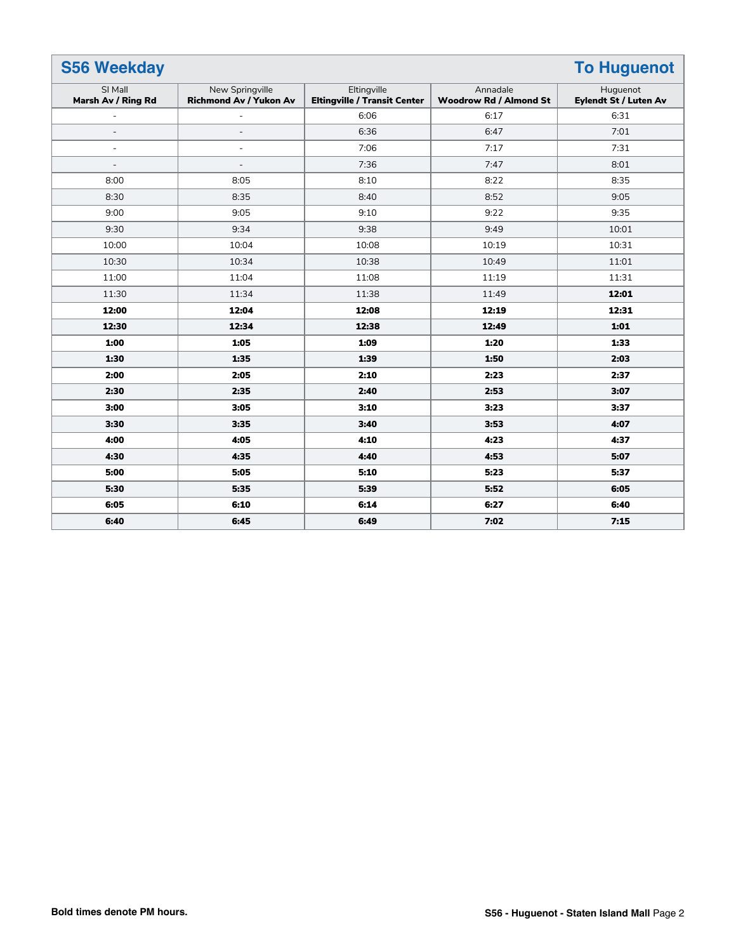| <b>S56 Weekday</b><br><b>To Huguenot</b> |                                                  |                                                    |                                           |                                          |
|------------------------------------------|--------------------------------------------------|----------------------------------------------------|-------------------------------------------|------------------------------------------|
| SI Mall<br>Marsh Av / Ring Rd            | New Springville<br><b>Richmond Av / Yukon Av</b> | Eltingville<br><b>Eltingville / Transit Center</b> | Annadale<br><b>Woodrow Rd / Almond St</b> | Huguenot<br><b>Eylendt St / Luten Av</b> |
|                                          |                                                  | 6:06                                               | 6:17                                      | 6:31                                     |
| $\overline{\phantom{a}}$                 | $\qquad \qquad -$                                | 6:36                                               | 6:47                                      | 7:01                                     |
| $\overline{\phantom{a}}$                 | $\overline{\phantom{a}}$                         | 7:06                                               | 7:17                                      | 7:31                                     |
| $\overline{\phantom{a}}$                 | $\overline{a}$                                   | 7:36                                               | 7:47                                      | 8:01                                     |
| 8:00                                     | 8:05                                             | 8:10                                               | 8:22                                      | 8:35                                     |
| 8:30                                     | 8:35                                             | 8:40                                               | 8:52                                      | 9:05                                     |
| 9:00                                     | 9:05                                             | 9:10                                               | 9:22                                      | 9:35                                     |
| 9:30                                     | 9:34                                             | 9:38                                               | 9:49                                      | 10:01                                    |
| 10:00                                    | 10:04                                            | 10:08                                              | 10:19                                     | 10:31                                    |
| 10:30                                    | 10:34                                            | 10:38                                              | 10:49                                     | 11:01                                    |
| 11:00                                    | 11:04                                            | 11:08                                              | 11:19                                     | 11:31                                    |
| 11:30                                    | 11:34                                            | 11:38                                              | 11:49                                     | 12:01                                    |
| 12:00                                    | 12:04                                            | 12:08                                              | 12:19                                     | 12:31                                    |
| 12:30                                    | 12:34                                            | 12:38                                              | 12:49                                     | 1:01                                     |
| 1:00                                     | 1:05                                             | 1:09                                               | 1:20                                      | 1:33                                     |
| 1:30                                     | 1:35                                             | 1:39                                               | 1:50                                      | 2:03                                     |
| 2:00                                     | 2:05                                             | 2:10                                               | 2:23                                      | 2:37                                     |
| 2:30                                     | 2:35                                             | 2:40                                               | 2:53                                      | 3:07                                     |
| 3:00                                     | 3:05                                             | 3:10                                               | 3:23                                      | 3:37                                     |
| 3:30                                     | 3:35                                             | 3:40                                               | 3:53                                      | 4:07                                     |
| 4:00                                     | 4:05                                             | 4:10                                               | 4:23                                      | 4:37                                     |
| 4:30                                     | 4:35                                             | 4:40                                               | 4:53                                      | 5:07                                     |
| 5:00                                     | 5:05                                             | 5:10                                               | 5:23                                      | 5:37                                     |
| 5:30                                     | 5:35                                             | 5:39                                               | 5:52                                      | 6:05                                     |
| 6:05                                     | 6:10                                             | 6:14                                               | 6:27                                      | 6:40                                     |
| 6:40                                     | 6:45                                             | 6:49                                               | 7:02                                      | 7:15                                     |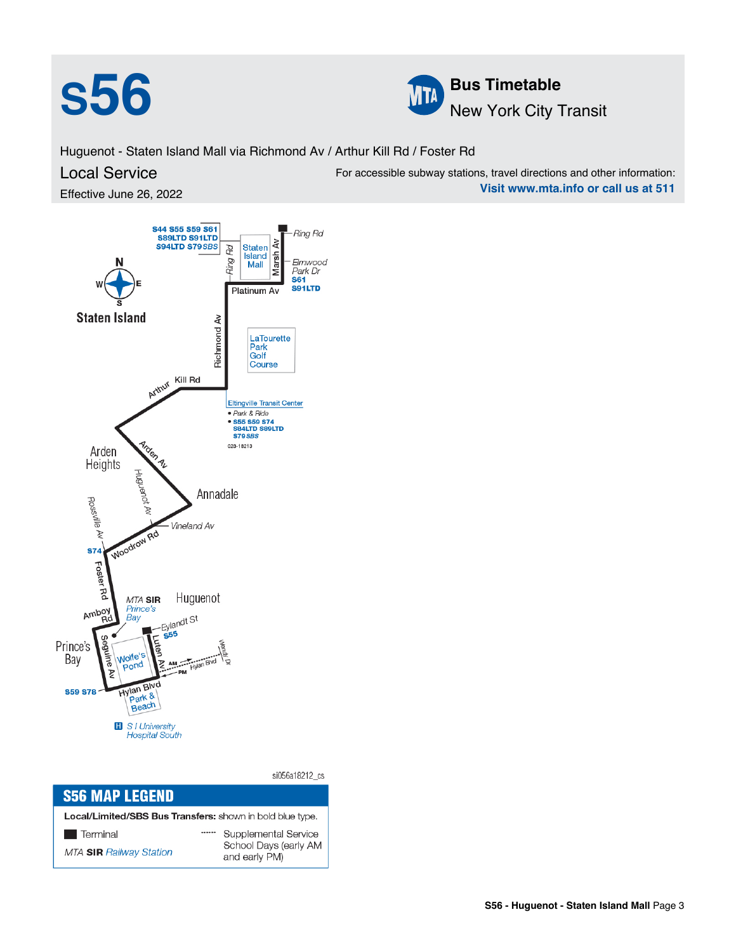



Huguenot - Staten Island Mall via Richmond Av / Arthur Kill Rd / Foster Rd

## Local Service

Effective June 26, 2022



| <b>S56 MAP LEGEND</b>                                     |  |                                        |  |  |  |
|-----------------------------------------------------------|--|----------------------------------------|--|--|--|
| Local/Limited/SBS Bus Transfers: shown in bold blue type. |  |                                        |  |  |  |
| Terminal                                                  |  | Supplemental Service                   |  |  |  |
| <b>MTA SIR Railway Station</b>                            |  | School Days (early AM<br>and early PM) |  |  |  |

For accessible subway stations, travel directions and other information: **Visit www.mta.info or call us at 511**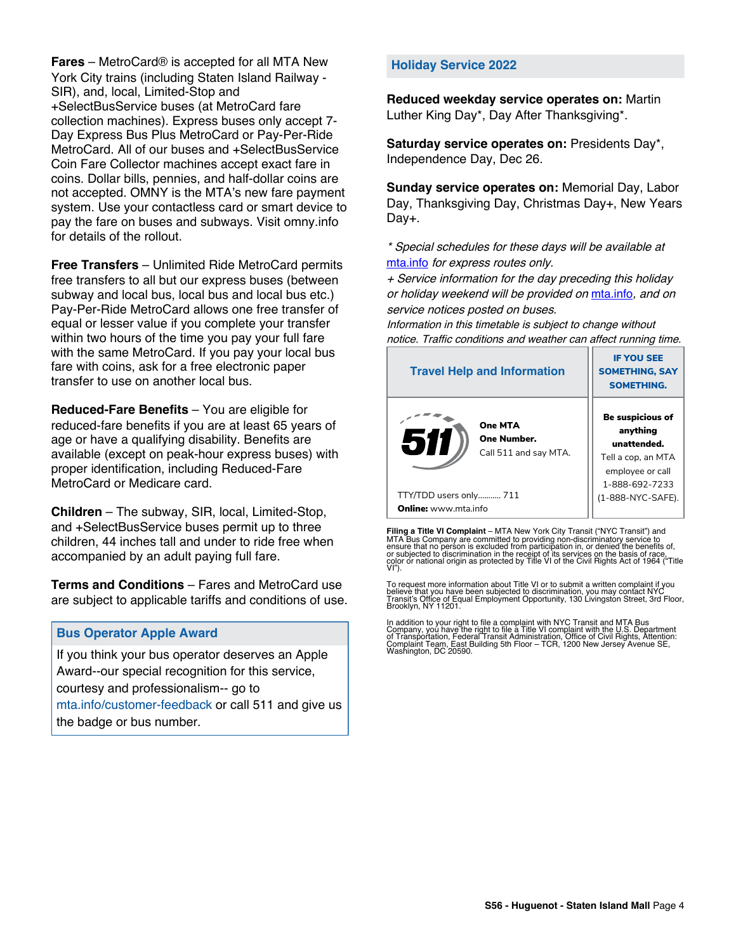**Fares** – MetroCard® is accepted for all MTA New York City trains (including Staten Island Railway - SIR), and, local, Limited-Stop and +SelectBusService buses (at MetroCard fare collection machines). Express buses only accept 7- Day Express Bus Plus MetroCard or Pay-Per-Ride MetroCard. All of our buses and +SelectBusService Coin Fare Collector machines accept exact fare in coins. Dollar bills, pennies, and half-dollar coins are not accepted. OMNY is the MTA's new fare payment system. Use your contactless card or smart device to pay the fare on buses and subways. Visit omny.info for details of the rollout.

**Free Transfers** – Unlimited Ride MetroCard permits free transfers to all but our express buses (between subway and local bus, local bus and local bus etc.) Pay-Per-Ride MetroCard allows one free transfer of equal or lesser value if you complete your transfer within two hours of the time you pay your full fare with the same MetroCard. If you pay your local bus fare with coins, ask for a free electronic paper transfer to use on another local bus.

**Reduced-Fare Benefits** – You are eligible for reduced-fare benefits if you are at least 65 years of age or have a qualifying disability. Benefits are available (except on peak-hour express buses) with proper identification, including Reduced-Fare MetroCard or Medicare card.

**Children** – The subway, SIR, local, Limited-Stop, and +SelectBusService buses permit up to three children, 44 inches tall and under to ride free when accompanied by an adult paying full fare.

**Terms and Conditions** – Fares and MetroCard use are subject to applicable tariffs and conditions of use.

## **Bus Operator Apple Award**

If you think your bus operator deserves an Apple Award--our special recognition for this service, courtesy and professionalism-- go to mta.info/customer-feedback or call 511 and give us the badge or bus number.

## **Holiday Service 2022**

**Reduced weekday service operates on:** Martin Luther King Day\*, Day After Thanksgiving\*.

**Saturday service operates on:** Presidents Day\*, Independence Day, Dec 26.

**Sunday service operates on:** Memorial Day, Labor Day, Thanksgiving Day, Christmas Day+, New Years Day+.

\* Special schedules for these days will be available at [mta.info](https://new.mta.info/) for express routes only.

+ Service information for the day preceding this holiday or holiday weekend will be provided on [mta.info](https://new.mta.info/), and on service notices posted on buses.

Information in this timetable is subject to change without notice. Traffic conditions and weather can affect running time.

| <b>Travel Help and Information</b>                            | <b>IF YOU SEE</b><br><b>SOMETHING, SAY</b><br><b>SOMETHING.</b>                                         |
|---------------------------------------------------------------|---------------------------------------------------------------------------------------------------------|
| <b>One MTA</b><br>511<br>One Number.<br>Call 511 and say MTA. | Be suspicious of<br>anything<br>unattended.<br>Tell a cop, an MTA<br>employee or call<br>1-888-692-7233 |
| TTY/TDD users only 711                                        | (1-888-NYC-SAFE).                                                                                       |
| <b>Online:</b> www.mta.info                                   |                                                                                                         |

**Filing a Title VI Complaint** – MTA New York City Transit ("NYC Transit") and<br>MTA Bus Company are committed to providing non-discriminatory service to<br>ensure that no person is excluded from participation in, or denied the

To request more information about Title VI or to submit a written complaint if you believe that you have been subjected to discrimination, you may contact NYC<br>Transit's Office of Equal Employment Opportunity, 130 Livingston Street, 3rd Floor,<br>Brooklyn, NY 11201.

In addition to your right to file a complaint with NYC Transit and MTA Bus<br>Company, you have the right to file a Title VI complaint with the U.S. Department<br>of Transportation, Federal Transit Administration, Office of Civi